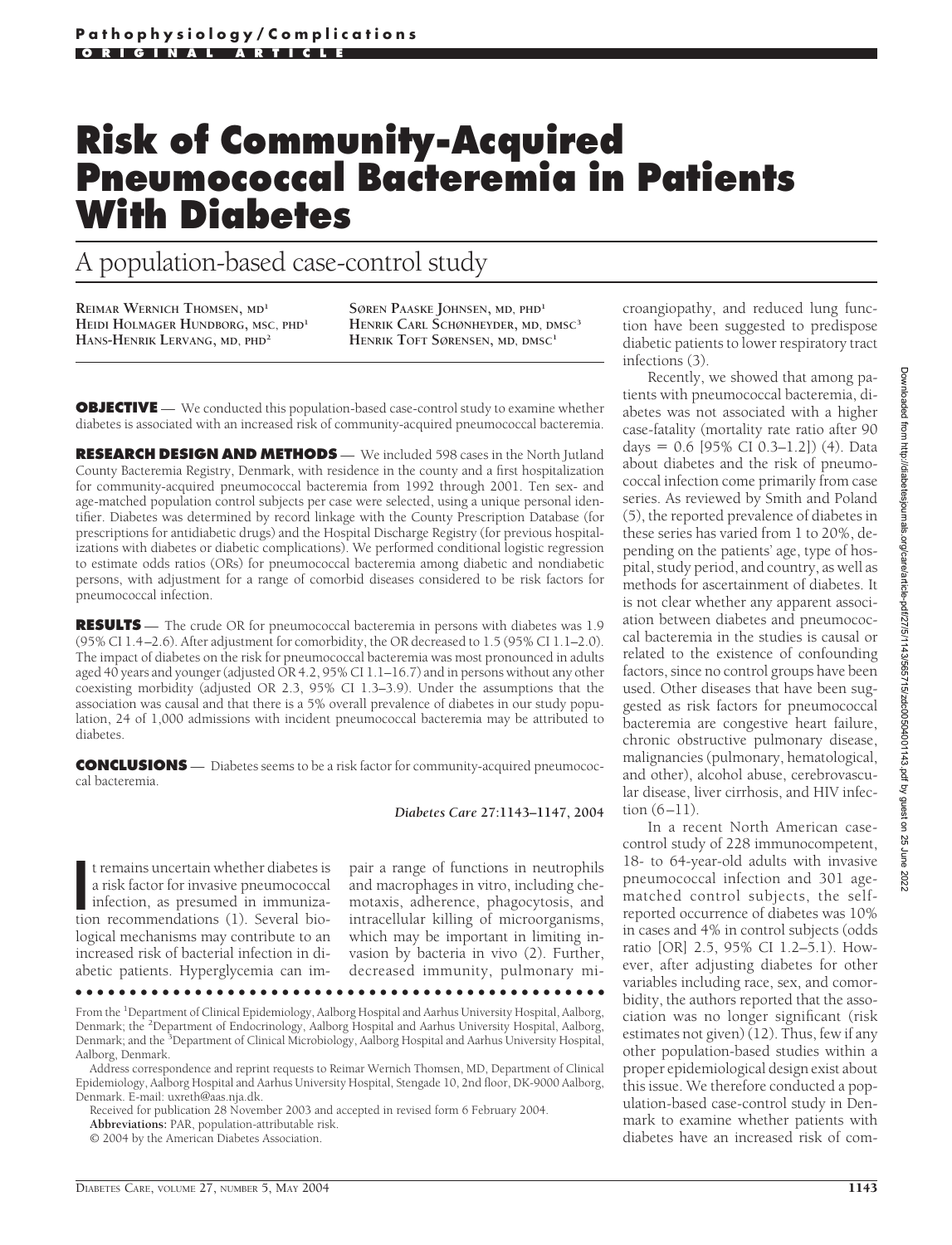# **Risk of Community-Acquired Pneumococcal Bacteremia in Patients With Diabetes**

# A population-based case-control study

**REIMAR WERNICH THOMSEN, MD<sup>1</sup> HEIDI HOLMAGER HUNDBORG, MSC, PHD<sup>1</sup> HANS-HENRIK LERVANG, MD, PHD<sup>2</sup>**

**SØREN PAASKE JOHNSEN, MD, PHD<sup>1</sup> HENRIK CARL SCHØNHEYDER, MD, DMSC<sup>3</sup> HENRIK TOFT SØRENSEN, MD, DMSC1**

**OBJECTIVE** — We conducted this population-based case-control study to examine whether diabetes is associated with an increased risk of community-acquired pneumococcal bacteremia.

**RESEARCH DESIGN AND METHODS** — We included 598 cases in the North Jutland County Bacteremia Registry, Denmark, with residence in the county and a first hospitalization for community-acquired pneumococcal bacteremia from 1992 through 2001. Ten sex- and age-matched population control subjects per case were selected, using a unique personal identifier. Diabetes was determined by record linkage with the County Prescription Database (for prescriptions for antidiabetic drugs) and the Hospital Discharge Registry (for previous hospitalizations with diabetes or diabetic complications). We performed conditional logistic regression to estimate odds ratios (ORs) for pneumococcal bacteremia among diabetic and nondiabetic persons, with adjustment for a range of comorbid diseases considered to be risk factors for pneumococcal infection.

**RESULTS** — The crude OR for pneumococcal bacteremia in persons with diabetes was 1.9 (95% CI 1.4–2.6). After adjustment for comorbidity, the OR decreased to 1.5 (95% CI 1.1–2.0). The impact of diabetes on the risk for pneumococcal bacteremia was most pronounced in adults aged 40 years and younger (adjusted OR 4.2, 95% CI 1.1–16.7) and in persons without any other coexisting morbidity (adjusted OR 2.3, 95% CI 1.3–3.9). Under the assumptions that the association was causal and that there is a 5% overall prevalence of diabetes in our study population, 24 of 1,000 admissions with incident pneumococcal bacteremia may be attributed to diabetes.

**CONCLUSIONS** — Diabetes seems to be a risk factor for community-acquired pneumococcal bacteremia.

*Diabetes Care* **27:1143–1147, 2004**

It remains uncertain whether diabetes is<br>
a risk factor for invasive pneumococcal<br>
infection, as presumed in immuniza-<br>
tion recommendations (1). Several biot remains uncertain whether diabetes is a risk factor for invasive pneumococcal infection, as presumed in immunizalogical mechanisms may contribute to an increased risk of bacterial infection in diabetic patients. Hyperglycemia can im-

pair a range of functions in neutrophils and macrophages in vitro, including chemotaxis, adherence, phagocytosis, and intracellular killing of microorganisms, which may be important in limiting invasion by bacteria in vivo (2). Further, decreased immunity, pulmonary mi-

●●●●●●●●●●●●●●●●●●●●●●●●●●●●●●●●●●●●●●●●●●●●●●●●●

Address correspondence and reprint requests to Reimar Wernich Thomsen, MD, Department of Clinical Epidemiology, Aalborg Hospital and Aarhus University Hospital, Stengade 10, 2nd floor, DK-9000 Aalborg, Denmark. E-mail: uxreth@aas.nja.dk.

Received for publication 28 November 2003 and accepted in revised form 6 February 2004.

**Abbreviations:** PAR, population-attributable risk.

© 2004 by the American Diabetes Association.

croangiopathy, and reduced lung function have been suggested to predispose diabetic patients to lower respiratory tract infections (3).

Recently, we showed that among patients with pneumococcal bacteremia, diabetes was not associated with a higher case-fatality (mortality rate ratio after 90 days =  $0.6$  [95% CI 0.3–1.2]) (4). Data about diabetes and the risk of pneumococcal infection come primarily from case series. As reviewed by Smith and Poland (5), the reported prevalence of diabetes in these series has varied from 1 to 20%, depending on the patients' age, type of hospital, study period, and country, as well as methods for ascertainment of diabetes. It is not clear whether any apparent association between diabetes and pneumococcal bacteremia in the studies is causal or related to the existence of confounding factors, since no control groups have been used. Other diseases that have been suggested as risk factors for pneumococcal bacteremia are congestive heart failure, chronic obstructive pulmonary disease, malignancies (pulmonary, hematological, and other), alcohol abuse, cerebrovascular disease, liver cirrhosis, and HIV infection  $(6-11)$ .

In a recent North American casecontrol study of 228 immunocompetent, 18- to 64-year-old adults with invasive pneumococcal infection and 301 agematched control subjects, the selfreported occurrence of diabetes was 10% in cases and 4% in control subjects (odds ratio [OR] 2.5, 95% CI 1.2–5.1). However, after adjusting diabetes for other variables including race, sex, and comorbidity, the authors reported that the association was no longer significant (risk estimates not given) (12). Thus, few if any other population-based studies within a proper epidemiological design exist about this issue. We therefore conducted a population-based case-control study in Denmark to examine whether patients with diabetes have an increased risk of com-

From the <sup>1</sup>Department of Clinical Epidemiology, Aalborg Hospital and Aarhus University Hospital, Aalborg, Denmark; the <sup>2</sup>Department of Endocrinology, Aalborg Hospital and Aarhus University Hospital, Aalborg, Denmark; and the <sup>3</sup>Department of Clinical Microbiology, Aalborg Hospital and Aarhus University Hospital, Aalborg, Denmark.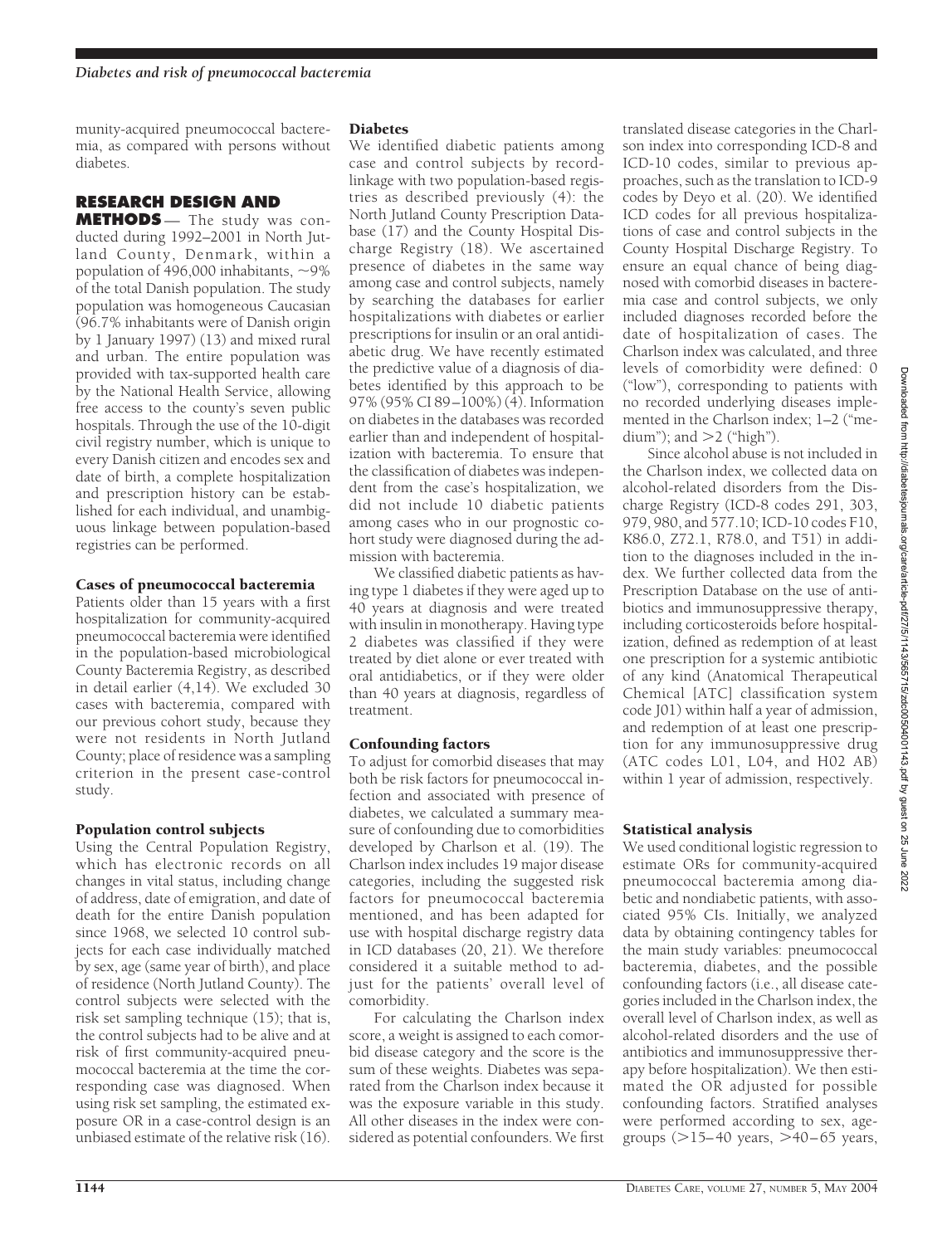munity-acquired pneumococcal bacteremia, as compared with persons without diabetes.

### **RESEARCH DESIGN AND**

**METHODS** — The study was conducted during 1992–2001 in North Jutland County, Denmark, within a population of 496,000 inhabitants,  $\sim$ 9% of the total Danish population. The study population was homogeneous Caucasian (96.7% inhabitants were of Danish origin by 1 January 1997) (13) and mixed rural and urban. The entire population was provided with tax-supported health care by the National Health Service, allowing free access to the county's seven public hospitals. Through the use of the 10-digit civil registry number, which is unique to every Danish citizen and encodes sex and date of birth, a complete hospitalization and prescription history can be established for each individual, and unambiguous linkage between population-based registries can be performed.

#### Cases of pneumococcal bacteremia

Patients older than 15 years with a first hospitalization for community-acquired pneumococcal bacteremia were identified in the population-based microbiological County Bacteremia Registry, as described in detail earlier (4,14). We excluded 30 cases with bacteremia, compared with our previous cohort study, because they were not residents in North Jutland County; place of residence was a sampling criterion in the present case-control study.

#### Population control subjects

Using the Central Population Registry, which has electronic records on all changes in vital status, including change of address, date of emigration, and date of death for the entire Danish population since 1968, we selected 10 control subjects for each case individually matched by sex, age (same year of birth), and place of residence (North Jutland County). The control subjects were selected with the risk set sampling technique (15); that is, the control subjects had to be alive and at risk of first community-acquired pneumococcal bacteremia at the time the corresponding case was diagnosed. When using risk set sampling, the estimated exposure OR in a case-control design is an unbiased estimate of the relative risk (16).

#### **Diabetes**

We identified diabetic patients among case and control subjects by recordlinkage with two population-based registries as described previously (4): the North Jutland County Prescription Database (17) and the County Hospital Discharge Registry (18). We ascertained presence of diabetes in the same way among case and control subjects, namely by searching the databases for earlier hospitalizations with diabetes or earlier prescriptions for insulin or an oral antidiabetic drug. We have recently estimated the predictive value of a diagnosis of diabetes identified by this approach to be 97% (95% CI 89–100%) (4). Information on diabetes in the databases was recorded earlier than and independent of hospitalization with bacteremia. To ensure that the classification of diabetes was independent from the case's hospitalization, we did not include 10 diabetic patients among cases who in our prognostic cohort study were diagnosed during the admission with bacteremia.

We classified diabetic patients as having type 1 diabetes if they were aged up to 40 years at diagnosis and were treated with insulin in monotherapy. Having type 2 diabetes was classified if they were treated by diet alone or ever treated with oral antidiabetics, or if they were older than 40 years at diagnosis, regardless of treatment.

# Confounding factors

To adjust for comorbid diseases that may both be risk factors for pneumococcal infection and associated with presence of diabetes, we calculated a summary measure of confounding due to comorbidities developed by Charlson et al. (19). The Charlson index includes 19 major disease categories, including the suggested risk factors for pneumococcal bacteremia mentioned, and has been adapted for use with hospital discharge registry data in ICD databases (20, 21). We therefore considered it a suitable method to adjust for the patients' overall level of comorbidity.

For calculating the Charlson index score, a weight is assigned to each comorbid disease category and the score is the sum of these weights. Diabetes was separated from the Charlson index because it was the exposure variable in this study. All other diseases in the index were considered as potential confounders. We first

translated disease categories in the Charlson index into corresponding ICD-8 and ICD-10 codes, similar to previous approaches, such as the translation to ICD-9 codes by Deyo et al. (20). We identified ICD codes for all previous hospitalizations of case and control subjects in the County Hospital Discharge Registry. To ensure an equal chance of being diagnosed with comorbid diseases in bacteremia case and control subjects, we only included diagnoses recorded before the date of hospitalization of cases. The Charlson index was calculated, and three levels of comorbidity were defined: 0 ("low"), corresponding to patients with no recorded underlying diseases implemented in the Charlson index; 1–2 ("medium"); and  $>2$  ("high").

Since alcohol abuse is not included in the Charlson index, we collected data on alcohol-related disorders from the Discharge Registry (ICD-8 codes 291, 303, 979, 980, and 577.10; ICD-10 codes F10, K86.0, Z72.1, R78.0, and T51) in addition to the diagnoses included in the index. We further collected data from the Prescription Database on the use of antibiotics and immunosuppressive therapy, including corticosteroids before hospitalization, defined as redemption of at least one prescription for a systemic antibiotic of any kind (Anatomical Therapeutical Chemical [ATC] classification system code J01) within half a year of admission, and redemption of at least one prescription for any immunosuppressive drug (ATC codes L01, L04, and H02 AB) within 1 year of admission, respectively.

# Statistical analysis

We used conditional logistic regression to estimate ORs for community-acquired pneumococcal bacteremia among diabetic and nondiabetic patients, with associated 95% CIs. Initially, we analyzed data by obtaining contingency tables for the main study variables: pneumococcal bacteremia, diabetes, and the possible confounding factors (i.e., all disease categories included in the Charlson index, the overall level of Charlson index, as well as alcohol-related disorders and the use of antibiotics and immunosuppressive therapy before hospitalization). We then estimated the OR adjusted for possible confounding factors. Stratified analyses were performed according to sex, agegroups  $(>15-40$  years,  $>40-65$  years,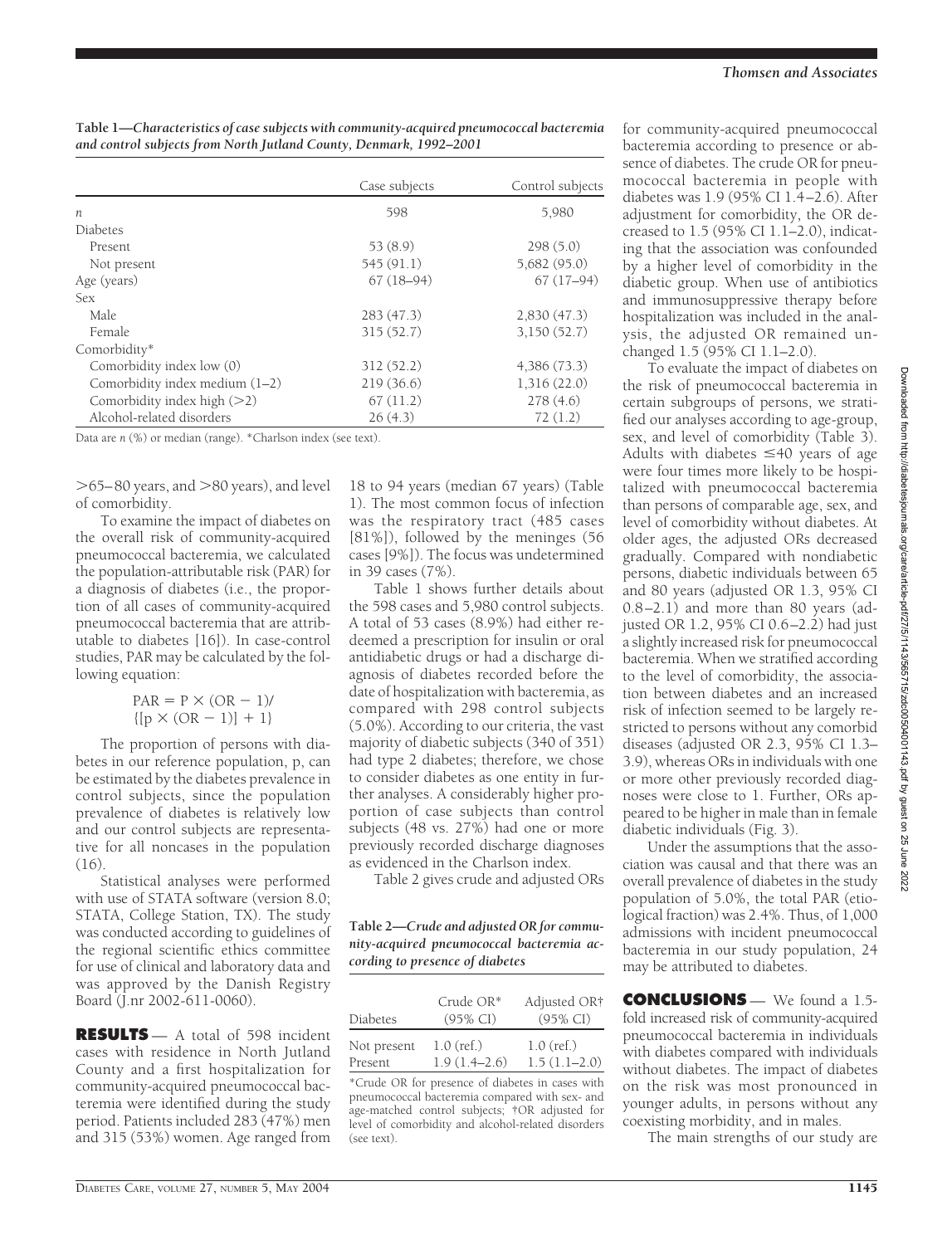|                                  | Case subjects | Control subjects |
|----------------------------------|---------------|------------------|
| $\boldsymbol{n}$                 | 598           | 5,980            |
| Diabetes                         |               |                  |
| Present                          | 53(8.9)       | 298(5.0)         |
| Not present                      | 545 (91.1)    | 5,682 (95.0)     |
| Age (years)                      | $67(18-94)$   | $67(17-94)$      |
| <b>Sex</b>                       |               |                  |
| Male.                            | 283(47.3)     | 2,830(47.3)      |
| Female                           | 315(52.7)     | 3,150(52.7)      |
| Comorbidity*                     |               |                  |
| Comorbidity index low (0)        | 312(52.2)     | 4,386(73.3)      |
| Comorbidity index medium $(1-2)$ | 219(36.6)     | 1,316(22.0)      |
| Comorbidity index high $(>2)$    | 67(11.2)      | 278(4.6)         |
| Alcohol-related disorders        | 26(4.3)       | 72(1.2)          |

**Table 1—***Characteristics of case subjects with community-acquired pneumococcal bacteremia and control subjects from North Jutland County, Denmark, 1992–2001*

Data are *n* (%) or median (range). \*Charlson index (see text).

 $>$ 65–80 years, and  $>$ 80 years), and level of comorbidity.

To examine the impact of diabetes on the overall risk of community-acquired pneumococcal bacteremia, we calculated the population-attributable risk (PAR) for a diagnosis of diabetes (i.e., the proportion of all cases of community-acquired pneumococcal bacteremia that are attributable to diabetes [16]). In case-control studies, PAR may be calculated by the following equation:

> $PAR = P \times (OR - 1)$  ${[p \times (OR - 1)] + 1}$

The proportion of persons with diabetes in our reference population, p, can be estimated by the diabetes prevalence in control subjects, since the population prevalence of diabetes is relatively low and our control subjects are representative for all noncases in the population (16).

Statistical analyses were performed with use of STATA software (version 8.0; STATA, College Station, TX). The study was conducted according to guidelines of the regional scientific ethics committee for use of clinical and laboratory data and was approved by the Danish Registry Board (J.nr 2002-611-0060).

**RESULTS** — A total of 598 incident cases with residence in North Jutland County and a first hospitalization for community-acquired pneumococcal bacteremia were identified during the study period. Patients included 283 (47%) men and 315 (53%) women. Age ranged from

18 to 94 years (median 67 years) (Table 1). The most common focus of infection was the respiratory tract (485 cases [81%]), followed by the meninges (56 cases [9%]). The focus was undetermined in 39 cases (7%).

Table 1 shows further details about the 598 cases and 5,980 control subjects. A total of 53 cases (8.9%) had either redeemed a prescription for insulin or oral antidiabetic drugs or had a discharge diagnosis of diabetes recorded before the date of hospitalization with bacteremia, as compared with 298 control subjects (5.0%). According to our criteria, the vast majority of diabetic subjects (340 of 351) had type 2 diabetes; therefore, we chose to consider diabetes as one entity in further analyses. A considerably higher proportion of case subjects than control subjects (48 vs. 27%) had one or more previously recorded discharge diagnoses as evidenced in the Charlson index.

Table 2 gives crude and adjusted ORs

| Table 2-Crude and adjusted OR for commu-  |
|-------------------------------------------|
| nity-acquired pneumococcal bacteremia ac- |
| cording to presence of diabetes           |

| Diabetes    | Crude $OR^*$<br>$(95\% \text{ CI})$ | Adjusted OR†<br>$(95\% \text{ CI})$ |
|-------------|-------------------------------------|-------------------------------------|
| Not present | $1.0$ (ref.)                        | $1.0$ (ref.)                        |
| Present     | $1.9(1.4-2.6)$                      | $1.5(1.1-2.0)$                      |

\*Crude OR for presence of diabetes in cases with pneumococcal bacteremia compared with sex- and age-matched control subjects; †OR adjusted for level of comorbidity and alcohol-related disorders (see text).

for community-acquired pneumococcal bacteremia according to presence or absence of diabetes. The crude OR for pneumococcal bacteremia in people with diabetes was 1.9 (95% CI 1.4–2.6). After adjustment for comorbidity, the OR decreased to 1.5 (95% CI 1.1–2.0), indicating that the association was confounded by a higher level of comorbidity in the diabetic group. When use of antibiotics and immunosuppressive therapy before hospitalization was included in the analysis, the adjusted OR remained unchanged 1.5 (95% CI 1.1–2.0).

To evaluate the impact of diabetes on the risk of pneumococcal bacteremia in certain subgroups of persons, we stratified our analyses according to age-group, sex, and level of comorbidity (Table 3). Adults with diabetes  $\leq 40$  years of age were four times more likely to be hospitalized with pneumococcal bacteremia than persons of comparable age, sex, and level of comorbidity without diabetes. At older ages, the adjusted ORs decreased gradually. Compared with nondiabetic persons, diabetic individuals between 65 and 80 years (adjusted OR 1.3, 95% CI 0.8–2.1) and more than 80 years (adjusted OR 1.2, 95% CI 0.6–2.2) had just a slightly increased risk for pneumococcal bacteremia. When we stratified according to the level of comorbidity, the association between diabetes and an increased risk of infection seemed to be largely restricted to persons without any comorbid diseases (adjusted OR 2.3, 95% CI 1.3– 3.9), whereas ORs in individuals with one or more other previously recorded diagnoses were close to 1. Further, ORs appeared to be higher in male than in female diabetic individuals (Fig. 3).

Under the assumptions that the association was causal and that there was an overall prevalence of diabetes in the study population of 5.0%, the total PAR (etiological fraction) was 2.4%. Thus, of 1,000 admissions with incident pneumococcal bacteremia in our study population, 24 may be attributed to diabetes.

**CONCLUSIONS** — We found a 1.5fold increased risk of community-acquired pneumococcal bacteremia in individuals with diabetes compared with individuals without diabetes. The impact of diabetes on the risk was most pronounced in younger adults, in persons without any coexisting morbidity, and in males.

The main strengths of our study are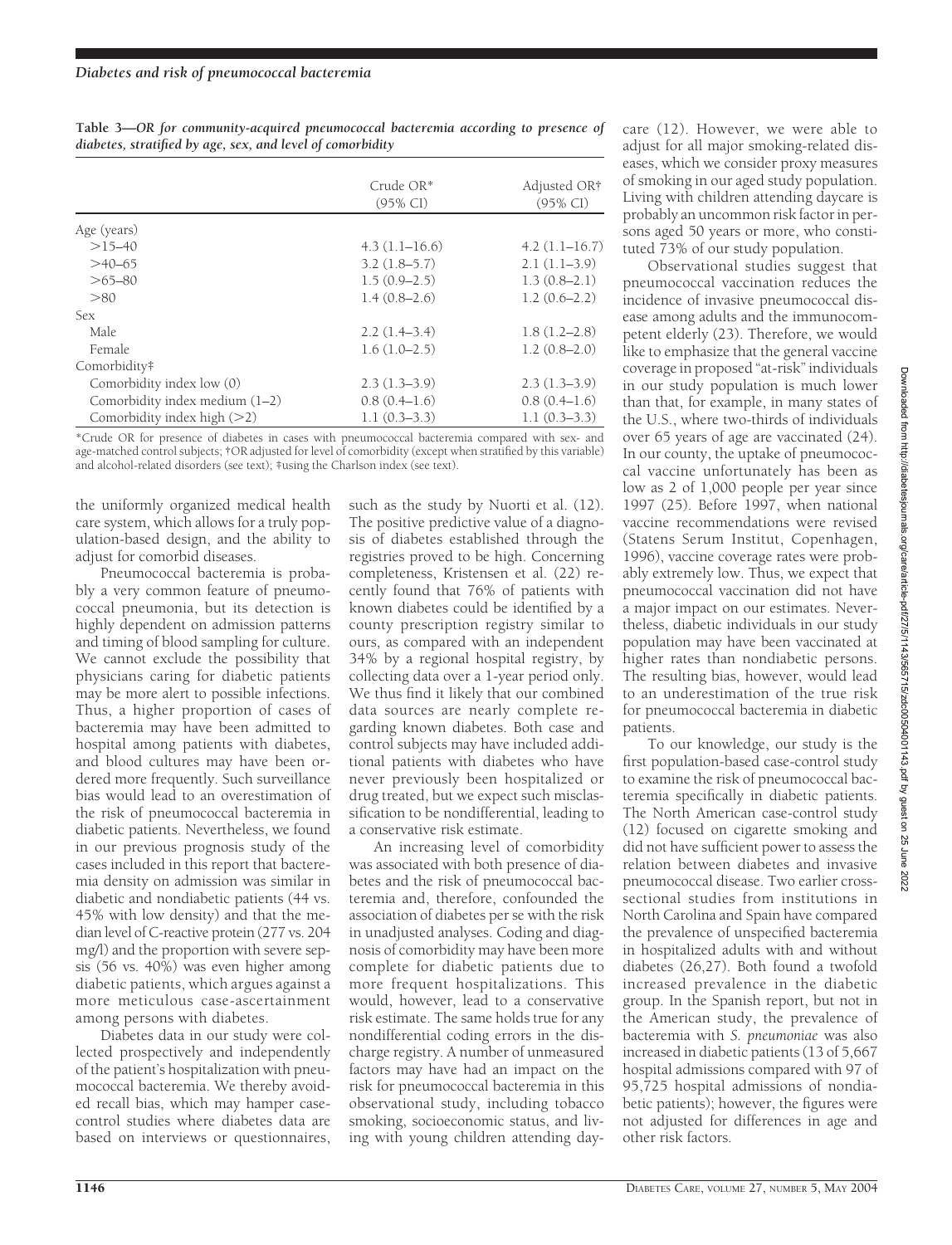|                                  | Crude $OR^*$<br>$(95\% \text{ CI})$ | Adjusted OR†<br>$(95\% \text{ CI})$ |
|----------------------------------|-------------------------------------|-------------------------------------|
| Age (years)                      |                                     |                                     |
| $>15-40$                         | $4.3(1.1-16.6)$                     | $4.2(1.1-16.7)$                     |
| $>40-65$                         | $3.2(1.8-5.7)$                      | $2.1(1.1-3.9)$                      |
| $>65 - 80$                       | $1.5(0.9-2.5)$                      | $1.3(0.8-2.1)$                      |
| >80                              | $1.4(0.8-2.6)$                      | $1.2(0.6-2.2)$                      |
| <b>Sex</b>                       |                                     |                                     |
| Male.                            | $2.2(1.4-3.4)$                      | $1.8(1.2 - 2.8)$                    |
| Female                           | $1.6(1.0-2.5)$                      | $1.2(0.8-2.0)$                      |
| Comorbidity#                     |                                     |                                     |
| Comorbidity index low (0)        | $2.3(1.3-3.9)$                      | $2.3(1.3-3.9)$                      |
| Comorbidity index medium $(1-2)$ | $0.8(0.4-1.6)$                      | $0.8(0.4-1.6)$                      |
| Comorbidity index high (>2)      | $1.1(0.3-3.3)$                      | $1.1(0.3-3.3)$                      |

**Table 3—***OR for community-acquired pneumococcal bacteremia according to presence of diabetes, stratified by age, sex, and level of comorbidity*

\*Crude OR for presence of diabetes in cases with pneumococcal bacteremia compared with sex- and age-matched control subjects; †OR adjusted for level of comorbidity (except when stratified by this variable) and alcohol-related disorders (see text); ‡using the Charlson index (see text).

the uniformly organized medical health care system, which allows for a truly population-based design, and the ability to adjust for comorbid diseases.

Pneumococcal bacteremia is probably a very common feature of pneumococcal pneumonia, but its detection is highly dependent on admission patterns and timing of blood sampling for culture. We cannot exclude the possibility that physicians caring for diabetic patients may be more alert to possible infections. Thus, a higher proportion of cases of bacteremia may have been admitted to hospital among patients with diabetes, and blood cultures may have been ordered more frequently. Such surveillance bias would lead to an overestimation of the risk of pneumococcal bacteremia in diabetic patients. Nevertheless, we found in our previous prognosis study of the cases included in this report that bacteremia density on admission was similar in diabetic and nondiabetic patients (44 vs. 45% with low density) and that the median level of C-reactive protein (277 vs. 204 mg/l) and the proportion with severe sepsis (56 vs. 40%) was even higher among diabetic patients, which argues against a more meticulous case-ascertainment among persons with diabetes.

Diabetes data in our study were collected prospectively and independently of the patient's hospitalization with pneumococcal bacteremia. We thereby avoided recall bias, which may hamper casecontrol studies where diabetes data are based on interviews or questionnaires,

such as the study by Nuorti et al. (12). The positive predictive value of a diagnosis of diabetes established through the registries proved to be high. Concerning completeness, Kristensen et al. (22) recently found that 76% of patients with known diabetes could be identified by a county prescription registry similar to ours, as compared with an independent 34% by a regional hospital registry, by collecting data over a 1-year period only. We thus find it likely that our combined data sources are nearly complete regarding known diabetes. Both case and control subjects may have included additional patients with diabetes who have never previously been hospitalized or drug treated, but we expect such misclassification to be nondifferential, leading to a conservative risk estimate.

An increasing level of comorbidity was associated with both presence of diabetes and the risk of pneumococcal bacteremia and, therefore, confounded the association of diabetes per se with the risk in unadjusted analyses. Coding and diagnosis of comorbidity may have been more complete for diabetic patients due to more frequent hospitalizations. This would, however, lead to a conservative risk estimate. The same holds true for any nondifferential coding errors in the discharge registry. A number of unmeasured factors may have had an impact on the risk for pneumococcal bacteremia in this observational study, including tobacco smoking, socioeconomic status, and living with young children attending daycare (12). However, we were able to adjust for all major smoking-related diseases, which we consider proxy measures of smoking in our aged study population. Living with children attending daycare is probably an uncommon risk factor in persons aged 50 years or more, who constituted 73% of our study population.

Observational studies suggest that pneumococcal vaccination reduces the incidence of invasive pneumococcal disease among adults and the immunocompetent elderly (23). Therefore, we would like to emphasize that the general vaccine coverage in proposed "at-risk"individuals in our study population is much lower than that, for example, in many states of the U.S., where two-thirds of individuals over 65 years of age are vaccinated (24). In our county, the uptake of pneumococcal vaccine unfortunately has been as low as 2 of 1,000 people per year since 1997 (25). Before 1997, when national vaccine recommendations were revised (Statens Serum Institut, Copenhagen, 1996), vaccine coverage rates were probably extremely low. Thus, we expect that pneumococcal vaccination did not have a major impact on our estimates. Nevertheless, diabetic individuals in our study population may have been vaccinated at higher rates than nondiabetic persons. The resulting bias, however, would lead to an underestimation of the true risk for pneumococcal bacteremia in diabetic patients.

To our knowledge, our study is the first population-based case-control study to examine the risk of pneumococcal bacteremia specifically in diabetic patients. The North American case-control study (12) focused on cigarette smoking and did not have sufficient power to assess the relation between diabetes and invasive pneumococcal disease. Two earlier crosssectional studies from institutions in North Carolina and Spain have compared the prevalence of unspecified bacteremia in hospitalized adults with and without diabetes (26,27). Both found a twofold increased prevalence in the diabetic group. In the Spanish report, but not in the American study, the prevalence of bacteremia with *S. pneumoniae* was also increased in diabetic patients (13 of 5,667 hospital admissions compared with 97 of 95,725 hospital admissions of nondiabetic patients); however, the figures were not adjusted for differences in age and other risk factors.